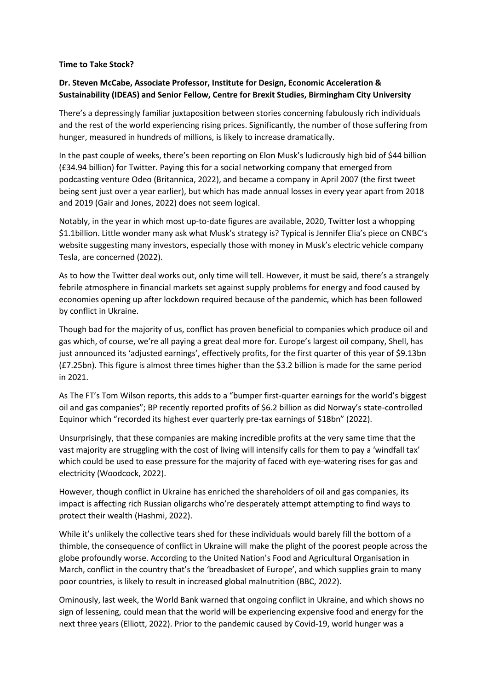## **Time to Take Stock?**

## **Dr. Steven McCabe, Associate Professor, Institute for Design, Economic Acceleration & Sustainability (IDEAS) and Senior Fellow, Centre for Brexit Studies, Birmingham City University**

There's a depressingly familiar juxtaposition between stories concerning fabulously rich individuals and the rest of the world experiencing rising prices. Significantly, the number of those suffering from hunger, measured in hundreds of millions, is likely to increase dramatically.

In the past couple of weeks, there's been reporting on Elon Musk's ludicrously high bid of \$44 billion (£34.94 billion) for Twitter. Paying this for a social networking company that emerged from podcasting venture Odeo (Britannica, 2022), and became a company in April 2007 (the first tweet being sent just over a year earlier), but which has made annual losses in every year apart from 2018 and 2019 (Gair and Jones, 2022) does not seem logical.

Notably, in the year in which most up-to-date figures are available, 2020, Twitter lost a whopping \$1.1billion. Little wonder many ask what Musk's strategy is? Typical is Jennifer Elia's piece on CNBC's website suggesting many investors, especially those with money in Musk's electric vehicle company Tesla, are concerned (2022).

As to how the Twitter deal works out, only time will tell. However, it must be said, there's a strangely febrile atmosphere in financial markets set against supply problems for energy and food caused by economies opening up after lockdown required because of the pandemic, which has been followed by conflict in Ukraine.

Though bad for the majority of us, conflict has proven beneficial to companies which produce oil and gas which, of course, we're all paying a great deal more for. Europe's largest oil company, Shell, has just announced its 'adjusted earnings', effectively profits, for the first quarter of this year of \$9.13bn (£7.25bn). This figure is almost three times higher than the \$3.2 billion is made for the same period in 2021.

As The FT's Tom Wilson reports, this adds to a "bumper first-quarter earnings for the world's biggest oil and gas companies"; BP recently reported profits of \$6.2 billion as did Norway's state-controlled Equinor which "recorded its highest ever quarterly pre-tax earnings of \$18bn" (2022).

Unsurprisingly, that these companies are making incredible profits at the very same time that the vast majority are struggling with the cost of living will intensify calls for them to pay a 'windfall tax' which could be used to ease pressure for the majority of faced with eye-watering rises for gas and electricity (Woodcock, 2022).

However, though conflict in Ukraine has enriched the shareholders of oil and gas companies, its impact is affecting rich Russian oligarchs who're desperately attempt attempting to find ways to protect their wealth (Hashmi, 2022).

While it's unlikely the collective tears shed for these individuals would barely fill the bottom of a thimble, the consequence of conflict in Ukraine will make the plight of the poorest people across the globe profoundly worse. According to the United Nation's Food and Agricultural Organisation in March, conflict in the country that's the 'breadbasket of Europe', and which supplies grain to many poor countries, is likely to result in increased global malnutrition (BBC, 2022).

Ominously, last week, the World Bank warned that ongoing conflict in Ukraine, and which shows no sign of lessening, could mean that the world will be experiencing expensive food and energy for the next three years (Elliott, 2022). Prior to the pandemic caused by Covid-19, world hunger was a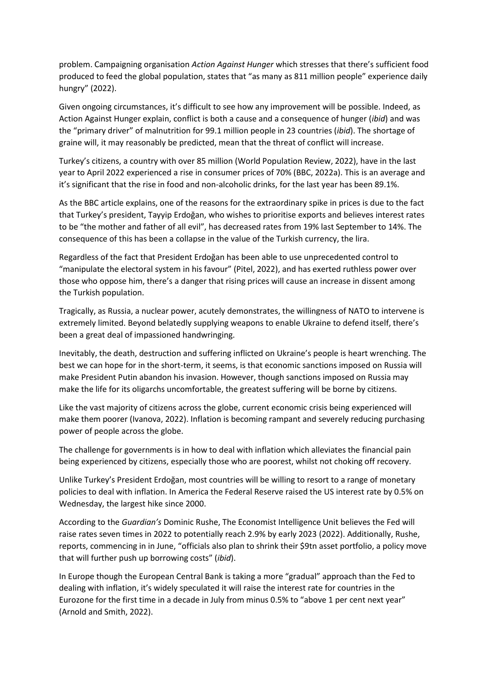problem. Campaigning organisation *Action Against Hunger* which stresses that there's sufficient food produced to feed the global population, states that "as many as 811 million people" experience daily hungry" (2022).

Given ongoing circumstances, it's difficult to see how any improvement will be possible. Indeed, as Action Against Hunger explain, conflict is both a cause and a consequence of hunger (*ibid*) and was the "primary driver" of malnutrition for 99.1 million people in 23 countries (*ibid*). The shortage of graine will, it may reasonably be predicted, mean that the threat of conflict will increase.

Turkey's citizens, a country with over 85 million (World Population Review, 2022), have in the last year to April 2022 experienced a rise in consumer prices of 70% (BBC, 2022a). This is an average and it's significant that the rise in food and non-alcoholic drinks, for the last year has been 89.1%.

As the BBC article explains, one of the reasons for the extraordinary spike in prices is due to the fact that Turkey's president, Tayyip Erdoğan, who wishes to prioritise exports and believes interest rates to be "the mother and father of all evil", has decreased rates from 19% last September to 14%. The consequence of this has been a collapse in the value of the Turkish currency, the lira.

Regardless of the fact that President Erdoğan has been able to use unprecedented control to "manipulate the electoral system in his favour" (Pitel, 2022), and has exerted ruthless power over those who oppose him, there's a danger that rising prices will cause an increase in dissent among the Turkish population.

Tragically, as Russia, a nuclear power, acutely demonstrates, the willingness of NATO to intervene is extremely limited. Beyond belatedly supplying weapons to enable Ukraine to defend itself, there's been a great deal of impassioned handwringing.

Inevitably, the death, destruction and suffering inflicted on Ukraine's people is heart wrenching. The best we can hope for in the short-term, it seems, is that economic sanctions imposed on Russia will make President Putin abandon his invasion. However, though sanctions imposed on Russia may make the life for its oligarchs uncomfortable, the greatest suffering will be borne by citizens.

Like the vast majority of citizens across the globe, current economic crisis being experienced will make them poorer (Ivanova, 2022). Inflation is becoming rampant and severely reducing purchasing power of people across the globe.

The challenge for governments is in how to deal with inflation which alleviates the financial pain being experienced by citizens, especially those who are poorest, whilst not choking off recovery.

Unlike Turkey's President Erdoğan, most countries will be willing to resort to a range of monetary policies to deal with inflation. In America the Federal Reserve raised the US interest rate by 0.5% on Wednesday, the largest hike since 2000.

According to the *Guardian's* Dominic Rushe, The Economist Intelligence Unit believes the Fed will raise rates seven times in 2022 to potentially reach 2.9% by early 2023 (2022). Additionally, Rushe, reports, commencing in in June, "officials also plan to shrink their \$9tn asset portfolio, a policy move that will further push up borrowing costs" (*ibid*).

In Europe though the European Central Bank is taking a more "gradual" approach than the Fed to dealing with inflation, it's widely speculated it will raise the interest rate for countries in the Eurozone for the first time in a decade in July from minus 0.5% to "above 1 per cent next year" (Arnold and Smith, 2022).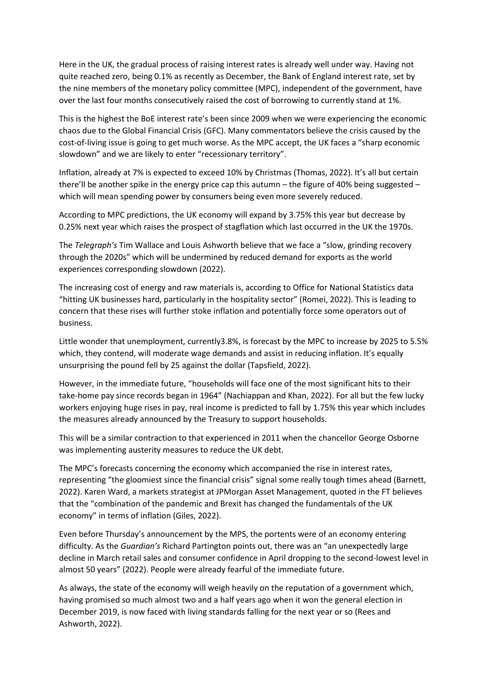Here in the UK, the gradual process of raising interest rates is already well under way. Having not quite reached zero, being 0.1% as recently as December, the Bank of England interest rate, set by the nine members of the monetary policy committee (MPC), independent of the government, have over the last four months consecutively raised the cost of borrowing to currently stand at 1%.

This is the highest the BoE interest rate's been since 2009 when we were experiencing the economic chaos due to the Global Financial Crisis (GFC). Many commentators believe the crisis caused by the cost-of-living issue is going to get much worse. As the MPC accept, the UK faces a "sharp economic slowdown" and we are likely to enter "recessionary territory".

Inflation, already at 7% is expected to exceed 10% by Christmas (Thomas, 2022). It's all but certain there'll be another spike in the energy price cap this autumn – the figure of 40% being suggested – which will mean spending power by consumers being even more severely reduced.

According to MPC predictions, the UK economy will expand by 3.75% this year but decrease by 0.25% next year which raises the prospect of stagflation which last occurred in the UK the 1970s.

The *Telegraph's* Tim Wallace and Louis Ashworth believe that we face a "slow, grinding recovery through the 2020s" which will be undermined by reduced demand for exports as the world experiences corresponding slowdown (2022).

The increasing cost of energy and raw materials is, according to Office for National Statistics data "hitting UK businesses hard, particularly in the hospitality sector" (Romei, 2022). This is leading to concern that these rises will further stoke inflation and potentially force some operators out of business.

Little wonder that unemployment, currently3.8%, is forecast by the MPC to increase by 2025 to 5.5% which, they contend, will moderate wage demands and assist in reducing inflation. It's equally unsurprising the pound fell by 25 against the dollar (Tapsfield, 2022).

However, in the immediate future, "households will face one of the most significant hits to their take-home pay since records began in 1964" (Nachiappan and Khan, 2022). For all but the few lucky workers enjoying huge rises in pay, real income is predicted to fall by 1.75% this year which includes the measures already announced by the Treasury to support households.

This will be a similar contraction to that experienced in 2011 when the chancellor George Osborne was implementing austerity measures to reduce the UK debt.

The MPC's forecasts concerning the economy which accompanied the rise in interest rates, representing "the gloomiest since the financial crisis" signal some really tough times ahead (Barnett, 2022). Karen Ward, a markets strategist at JPMorgan Asset Management, quoted in the FT believes that the "combination of the pandemic and Brexit has changed the fundamentals of the UK economy" in terms of inflation (Giles, 2022).

Even before Thursday's announcement by the MPS, the portents were of an economy entering difficulty. As the *Guardian's* Richard Partington points out, there was an "an unexpectedly large decline in March retail sales and consumer confidence in April dropping to the second-lowest level in almost 50 years" (2022). People were already fearful of the immediate future.

As always, the state of the economy will weigh heavily on the reputation of a government which, having promised so much almost two and a half years ago when it won the general election in December 2019, is now faced with living standards falling for the next year or so (Rees and Ashworth, 2022).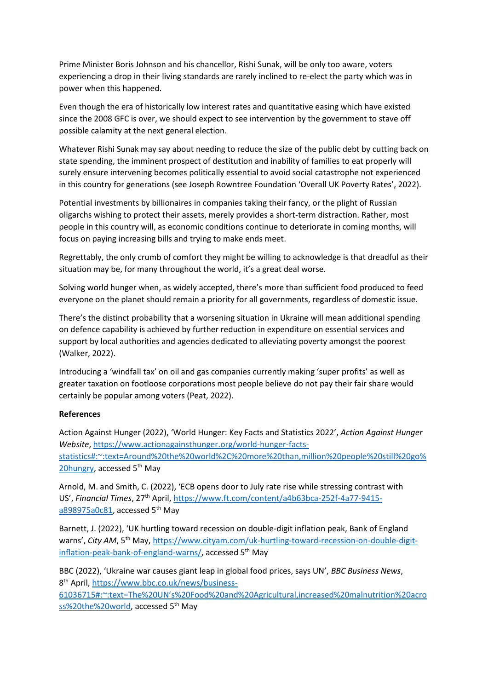Prime Minister Boris Johnson and his chancellor, Rishi Sunak, will be only too aware, voters experiencing a drop in their living standards are rarely inclined to re-elect the party which was in power when this happened.

Even though the era of historically low interest rates and quantitative easing which have existed since the 2008 GFC is over, we should expect to see intervention by the government to stave off possible calamity at the next general election.

Whatever Rishi Sunak may say about needing to reduce the size of the public debt by cutting back on state spending, the imminent prospect of destitution and inability of families to eat properly will surely ensure intervening becomes politically essential to avoid social catastrophe not experienced in this country for generations (see Joseph Rowntree Foundation 'Overall UK Poverty Rates', 2022).

Potential investments by billionaires in companies taking their fancy, or the plight of Russian oligarchs wishing to protect their assets, merely provides a short-term distraction. Rather, most people in this country will, as economic conditions continue to deteriorate in coming months, will focus on paying increasing bills and trying to make ends meet.

Regrettably, the only crumb of comfort they might be willing to acknowledge is that dreadful as their situation may be, for many throughout the world, it's a great deal worse.

Solving world hunger when, as widely accepted, there's more than sufficient food produced to feed everyone on the planet should remain a priority for all governments, regardless of domestic issue.

There's the distinct probability that a worsening situation in Ukraine will mean additional spending on defence capability is achieved by further reduction in expenditure on essential services and support by local authorities and agencies dedicated to alleviating poverty amongst the poorest (Walker, 2022).

Introducing a 'windfall tax' on oil and gas companies currently making 'super profits' as well as greater taxation on footloose corporations most people believe do not pay their fair share would certainly be popular among voters (Peat, 2022).

## **References**

Action Against Hunger (2022), 'World Hunger: Key Facts and Statistics 2022', *Action Against Hunger Website*, [https://www.actionagainsthunger.org/world-hunger-facts](https://www.actionagainsthunger.org/world-hunger-facts-statistics#:~:text=Around%20the%20world%2C%20more%20than,million%20people%20still%20go%20hungry)[statistics#:~:text=Around%20the%20world%2C%20more%20than,million%20people%20still%20go%](https://www.actionagainsthunger.org/world-hunger-facts-statistics#:~:text=Around%20the%20world%2C%20more%20than,million%20people%20still%20go%20hungry) [20hungry,](https://www.actionagainsthunger.org/world-hunger-facts-statistics#:~:text=Around%20the%20world%2C%20more%20than,million%20people%20still%20go%20hungry) accessed 5<sup>th</sup> May

Arnold, M. and Smith, C. (2022), 'ECB opens door to July rate rise while stressing contrast with US', *Financial Times*, 27th April, [https://www.ft.com/content/a4b63bca-252f-4a77-9415](https://www.ft.com/content/a4b63bca-252f-4a77-9415-a898975a0c81) [a898975a0c81,](https://www.ft.com/content/a4b63bca-252f-4a77-9415-a898975a0c81) accessed 5<sup>th</sup> May

Barnett, J. (2022), 'UK hurtling toward recession on double-digit inflation peak, Bank of England warns', City AM, 5<sup>th</sup> May, [https://www.cityam.com/uk-hurtling-toward-recession-on-double-digit](https://www.cityam.com/uk-hurtling-toward-recession-on-double-digit-inflation-peak-bank-of-england-warns/)[inflation-peak-bank-of-england-warns/,](https://www.cityam.com/uk-hurtling-toward-recession-on-double-digit-inflation-peak-bank-of-england-warns/) accessed 5<sup>th</sup> May

BBC (2022), 'Ukraine war causes giant leap in global food prices, says UN', *BBC Business News*, 8<sup>th</sup> April, [https://www.bbc.co.uk/news/business-](https://www.bbc.co.uk/news/business-61036715#:~:text=The%20UN)

[61036715#:~:text=The%20UN's%20Food%20and%20Agricultural,increased%20malnutrition%20acro](https://www.bbc.co.uk/news/business-61036715#:~:text=The%20UN) [ss%20the%20world,](https://www.bbc.co.uk/news/business-61036715#:~:text=The%20UN) accessed 5<sup>th</sup> May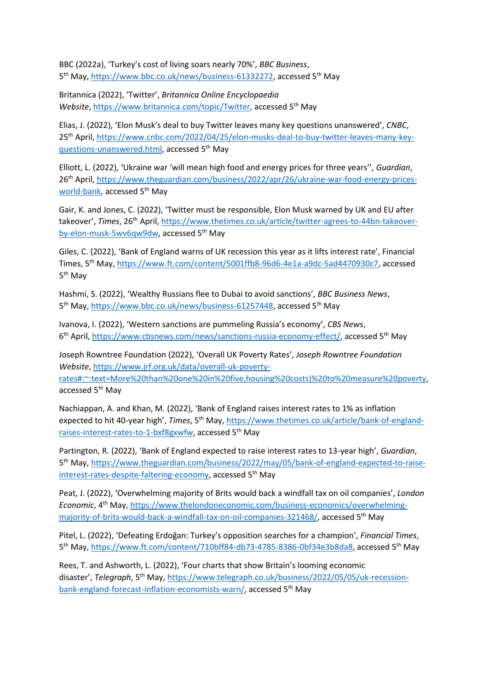BBC (2022a), 'Turkey's cost of living soars nearly 70%', *BBC Business*, 5<sup>th</sup> May, [https://www.bbc.co.uk/news/business-61332272,](https://www.bbc.co.uk/news/business-61332272) accessed 5<sup>th</sup> May

Britannica (2022), 'Twitter', *Britannica Online Encyclopaedia Website*, [https://www.britannica.com/topic/Twitter,](https://www.britannica.com/topic/Twitter) accessed 5<sup>th</sup> May

Elias, J. (2022), 'Elon Musk's deal to buy Twitter leaves many key questions unanswered', *CNBC*, 25th April, [https://www.cnbc.com/2022/04/25/elon-musks-deal-to-buy-twitter-leaves-many-key](https://www.cnbc.com/2022/04/25/elon-musks-deal-to-buy-twitter-leaves-many-key-questions-unanswered.html)[questions-unanswered.html,](https://www.cnbc.com/2022/04/25/elon-musks-deal-to-buy-twitter-leaves-many-key-questions-unanswered.html) accessed 5<sup>th</sup> May

Elliott, L. (2022), 'Ukraine war 'will mean high food and energy prices for three years'', *Guardian*, 26th April, [https://www.theguardian.com/business/2022/apr/26/ukraine-war-food-energy-prices](https://www.theguardian.com/business/2022/apr/26/ukraine-war-food-energy-prices-world-bank)[world-bank,](https://www.theguardian.com/business/2022/apr/26/ukraine-war-food-energy-prices-world-bank) accessed 5<sup>th</sup> May

Gair, K. and Jones, C. (2022), 'Twitter must be responsible, Elon Musk warned by UK and EU after takeover', Times, 26<sup>th</sup> April, [https://www.thetimes.co.uk/article/twitter-agrees-to-44bn-takeover](https://www.thetimes.co.uk/article/twitter-agrees-to-44bn-takeover-by-elon-musk-5wv6qw9dw)[by-elon-musk-5wv6qw9dw,](https://www.thetimes.co.uk/article/twitter-agrees-to-44bn-takeover-by-elon-musk-5wv6qw9dw) accessed 5<sup>th</sup> May

Giles, C. (2022), 'Bank of England warns of UK recession this year as it lifts interest rate', Financial Times, 5<sup>th</sup> May, [https://www.ft.com/content/5001ffb8-96d6-4e1a-a9dc-5ad4470930c7,](https://www.ft.com/content/5001ffb8-96d6-4e1a-a9dc-5ad4470930c7) accessed 5<sup>th</sup> May

Hashmi, S. (2022), 'Wealthy Russians flee to Dubai to avoid sanctions', *BBC Business News*, 5<sup>th</sup> May, [https://www.bbc.co.uk/news/business-61257448,](https://www.bbc.co.uk/news/business-61257448) accessed 5<sup>th</sup> May

Ivanova, I. (2022), 'Western sanctions are pummeling Russia's economy', *CBS News*, 6<sup>th</sup> April, [https://www.cbsnews.com/news/sanctions-russia-economy-effect/,](https://www.cbsnews.com/news/sanctions-russia-economy-effect/) accessed 5<sup>th</sup> May

Joseph Rowntree Foundation (2022), 'Overall UK Poverty Rates', *Joseph Rowntree Foundation Website*, [https://www.jrf.org.uk/data/overall-uk-poverty](https://www.jrf.org.uk/data/overall-uk-poverty-rates#:~:text=More%20than%20one%20in%20five,housing%20costs)%20to%20measure%20poverty)[rates#:~:text=More%20than%20one%20in%20five,housing%20costs\)%20to%20measure%20poverty,](https://www.jrf.org.uk/data/overall-uk-poverty-rates#:~:text=More%20than%20one%20in%20five,housing%20costs)%20to%20measure%20poverty) accessed 5<sup>th</sup> May

Nachiappan, A. and Khan, M. (2022), 'Bank of England raises interest rates to 1% as inflation expected to hit 40-year high', *Times*, 5th May, [https://www.thetimes.co.uk/article/bank-of-england](https://www.thetimes.co.uk/article/bank-of-england-raises-interest-rates-to-1-bxf8gxwfw)[raises-interest-rates-to-1-bxf8gxwfw,](https://www.thetimes.co.uk/article/bank-of-england-raises-interest-rates-to-1-bxf8gxwfw) accessed 5th May

Partington, R. (2022), 'Bank of England expected to raise interest rates to 13-year high', *Guardian*, 5<sup>th</sup> May, [https://www.theguardian.com/business/2022/may/05/bank-of-england-expected-to-raise](https://www.theguardian.com/business/2022/may/05/bank-of-england-expected-to-raise-interest-rates-despite-faltering-economy)[interest-rates-despite-faltering-economy,](https://www.theguardian.com/business/2022/may/05/bank-of-england-expected-to-raise-interest-rates-despite-faltering-economy) accessed 5<sup>th</sup> May

Peat, J. (2022), 'Overwhelming majority of Brits would back a windfall tax on oil companies', *London Economic*, 4th May, [https://www.thelondoneconomic.com/business-economics/overwhelming](https://www.thelondoneconomic.com/business-economics/overwhelming-majority-of-brits-would-back-a-windfall-tax-on-oil-companies-321468/)[majority-of-brits-would-back-a-windfall-tax-on-oil-companies-321468/,](https://www.thelondoneconomic.com/business-economics/overwhelming-majority-of-brits-would-back-a-windfall-tax-on-oil-companies-321468/) accessed 5th May

Pitel, L. (2022), 'Defeating Erdoğan: Turkey's opposition searches for a champion', *Financial Times*, 5<sup>th</sup> May, [https://www.ft.com/content/710bff84-db73-4785-8386-0bf34e3b8da8,](https://www.ft.com/content/710bff84-db73-4785-8386-0bf34e3b8da8) accessed 5<sup>th</sup> May

Rees, T. and Ashworth, L. (2022), 'Four charts that show Britain's looming economic disaster', *Telegraph*, 5<sup>th</sup> May, [https://www.telegraph.co.uk/business/2022/05/05/uk-recession](https://www.telegraph.co.uk/business/2022/05/05/uk-recession-bank-england-forecast-inflation-economists-warn/)[bank-england-forecast-inflation-economists-warn/,](https://www.telegraph.co.uk/business/2022/05/05/uk-recession-bank-england-forecast-inflation-economists-warn/) accessed 5<sup>th</sup> May